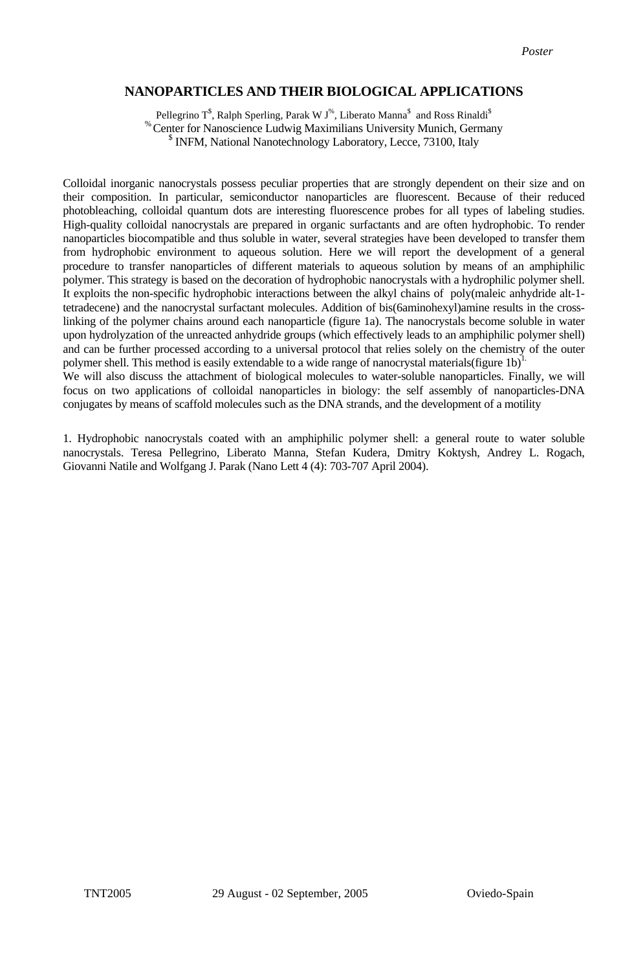## **NANOPARTICLES AND THEIR BIOLOGICAL APPLICATIONS**

Pellegrino T $^{\$}$ , Ralph Sperling, Parak W J $^{\%}$ , Liberato Manna $^{\$}$  and Ross Rinaldi $^{\$}$ % Center for Nanoscience Ludwig Maximilians University Munich, Germany \$ <sup>\$</sup> INFM, National Nanotechnology Laboratory, Lecce, 73100, Italy

Colloidal inorganic nanocrystals possess peculiar properties that are strongly dependent on their size and on their composition. In particular, semiconductor nanoparticles are fluorescent. Because of their reduced photobleaching, colloidal quantum dots are interesting fluorescence probes for all types of labeling studies. High-quality colloidal nanocrystals are prepared in organic surfactants and are often hydrophobic. To render nanoparticles biocompatible and thus soluble in water, several strategies have been developed to transfer them from hydrophobic environment to aqueous solution. Here we will report the development of a general procedure to transfer nanoparticles of different materials to aqueous solution by means of an amphiphilic polymer. This strategy is based on the decoration of hydrophobic nanocrystals with a hydrophilic polymer shell. It exploits the non-specific hydrophobic interactions between the alkyl chains of poly(maleic anhydride alt-1 tetradecene) and the nanocrystal surfactant molecules. Addition of bis(6aminohexyl)amine results in the crosslinking of the polymer chains around each nanoparticle (figure 1a). The nanocrystals become soluble in water upon hydrolyzation of the unreacted anhydride groups (which effectively leads to an amphiphilic polymer shell) and can be further processed according to a universal protocol that relies solely on the chemistry of the outer polymer shell. This method is easily extendable to a wide range of nanocrystal materials(figure 1b)<sup>1</sup>

We will also discuss the attachment of biological molecules to water-soluble nanoparticles. Finally, we will focus on two applications of colloidal nanoparticles in biology: the self assembly of nanoparticles-DNA conjugates by means of scaffold molecules such as the DNA strands, and the development of a motility

1. Hydrophobic nanocrystals coated with an amphiphilic polymer shell: a general route to water soluble nanocrystals. Teresa Pellegrino, Liberato Manna, Stefan Kudera, Dmitry Koktysh, Andrey L. Rogach, Giovanni Natile and Wolfgang J. Parak (Nano Lett 4 (4): 703-707 April 2004).